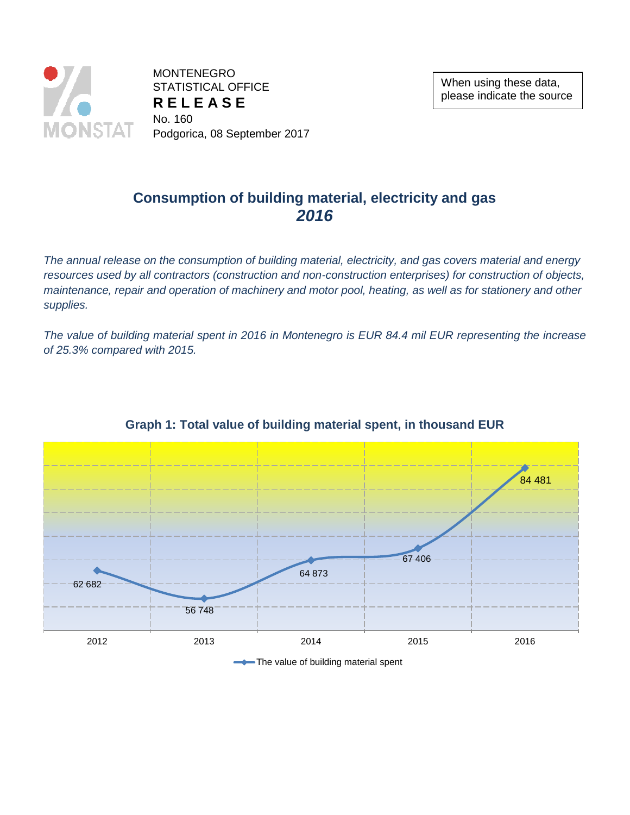

**MONTENEGRO** STATISTICAL OFFICE **R E L E A S E** No. 160 Podgorica, 08 September 2017

## **Consumption of building material, electricity and gas** *2016*

*The annual release on the consumption of building material, electricity, and gas covers material and energy resources used by all contractors (construction and non-construction enterprises) for construction of objects, maintenance, repair and operation of machinery and motor pool, heating, as well as for stationery and other supplies.*

*The value of building material spent in 2016 in Montenegro is EUR 84.4 mil EUR representing the increase of 25.3% compared with 2015.*



### **Graph 1: Total value of building material spent, in thousand EUR**

The value of building material spent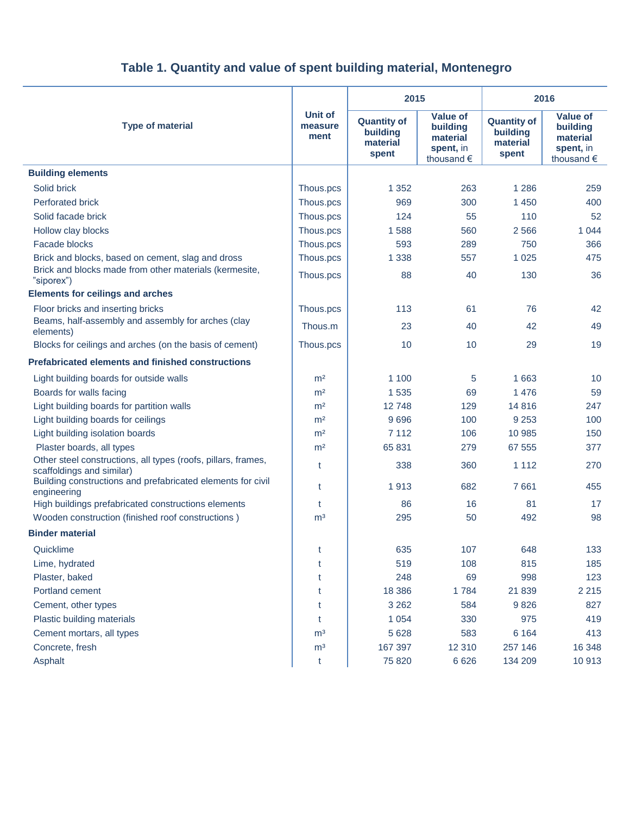| <b>Type of material</b>                                                                    | <b>Unit of</b><br>measure<br>ment | 2015                                                |                                                                    | 2016                                                |                                                                    |
|--------------------------------------------------------------------------------------------|-----------------------------------|-----------------------------------------------------|--------------------------------------------------------------------|-----------------------------------------------------|--------------------------------------------------------------------|
|                                                                                            |                                   | <b>Quantity of</b><br>building<br>material<br>spent | <b>Value of</b><br>building<br>material<br>spent, in<br>thousand € | <b>Quantity of</b><br>building<br>material<br>spent | <b>Value of</b><br>building<br>material<br>spent, in<br>thousand € |
| <b>Building elements</b>                                                                   |                                   |                                                     |                                                                    |                                                     |                                                                    |
| Solid brick                                                                                | Thous.pcs                         | 1 3 5 2                                             | 263                                                                | 1 2 8 6                                             | 259                                                                |
| <b>Perforated brick</b>                                                                    | Thous.pcs                         | 969                                                 | 300                                                                | 1 4 5 0                                             | 400                                                                |
| Solid facade brick                                                                         | Thous.pcs                         | 124                                                 | 55                                                                 | 110                                                 | 52                                                                 |
| Hollow clay blocks                                                                         | Thous.pcs                         | 1588                                                | 560                                                                | 2566                                                | 1 0 4 4                                                            |
| <b>Facade blocks</b>                                                                       | Thous.pcs                         | 593                                                 | 289                                                                | 750                                                 | 366                                                                |
| Brick and blocks, based on cement, slag and dross                                          | Thous.pcs                         | 1 3 3 8                                             | 557                                                                | 1 0 2 5                                             | 475                                                                |
| Brick and blocks made from other materials (kermesite,<br>"siporex")                       | Thous.pcs                         | 88                                                  | 40                                                                 | 130                                                 | 36                                                                 |
| <b>Elements for ceilings and arches</b>                                                    |                                   |                                                     |                                                                    |                                                     |                                                                    |
| Floor bricks and inserting bricks                                                          | Thous.pcs                         | 113                                                 | 61                                                                 | 76                                                  | 42                                                                 |
| Beams, half-assembly and assembly for arches (clay<br>elements)                            | Thous.m                           | 23                                                  | 40                                                                 | 42                                                  | 49                                                                 |
| Blocks for ceilings and arches (on the basis of cement)                                    | Thous.pcs                         | 10                                                  | 10                                                                 | 29                                                  | 19                                                                 |
| <b>Prefabricated elements and finished constructions</b>                                   |                                   |                                                     |                                                                    |                                                     |                                                                    |
| Light building boards for outside walls                                                    | m <sup>2</sup>                    | 1 100                                               | 5                                                                  | 1 6 6 3                                             | 10                                                                 |
| Boards for walls facing                                                                    | m <sup>2</sup>                    | 1 5 3 5                                             | 69                                                                 | 1476                                                | 59                                                                 |
| Light building boards for partition walls                                                  | m <sup>2</sup>                    | 12748                                               | 129                                                                | 14 8 16                                             | 247                                                                |
| Light building boards for ceilings                                                         | m <sup>2</sup>                    | 9696                                                | 100                                                                | 9 2 5 3                                             | 100                                                                |
| Light building isolation boards                                                            | m <sup>2</sup>                    | 7 1 1 2                                             | 106                                                                | 10 985                                              | 150                                                                |
| Plaster boards, all types                                                                  | m <sup>2</sup>                    | 65 831                                              | 279                                                                | 67 555                                              | 377                                                                |
| Other steel constructions, all types (roofs, pillars, frames,<br>scaffoldings and similar) | t                                 | 338                                                 | 360                                                                | 1 1 1 2                                             | 270                                                                |
| Building constructions and prefabricated elements for civil<br>engineering                 | t                                 | 1913                                                | 682                                                                | 7661                                                | 455                                                                |
| High buildings prefabricated constructions elements                                        | t                                 | 86                                                  | 16                                                                 | 81                                                  | 17                                                                 |
| Wooden construction (finished roof constructions)                                          | m <sup>3</sup>                    | 295                                                 | 50                                                                 | 492                                                 | 98                                                                 |
| <b>Binder material</b>                                                                     |                                   |                                                     |                                                                    |                                                     |                                                                    |
| Quicklime                                                                                  | t                                 | 635                                                 | 107                                                                | 648                                                 | 133                                                                |
| Lime, hydrated                                                                             | t                                 | 519                                                 | 108                                                                | 815                                                 | 185                                                                |
| Plaster, baked                                                                             | t                                 | 248                                                 | 69                                                                 | 998                                                 | 123                                                                |
| Portland cement                                                                            | t                                 | 18 38 6                                             | 1784                                                               | 21 839                                              | 2 2 1 5                                                            |
| Cement, other types                                                                        | t                                 | 3 2 6 2                                             | 584                                                                | 9826                                                | 827                                                                |
| Plastic building materials                                                                 | t                                 | 1 0 5 4                                             | 330                                                                | 975                                                 | 419                                                                |
| Cement mortars, all types                                                                  | m <sup>3</sup>                    | 5 6 28                                              | 583                                                                | 6 1 6 4                                             | 413                                                                |
| Concrete, fresh                                                                            | m <sup>3</sup>                    | 167 397                                             | 12 310                                                             | 257 146                                             | 16 348                                                             |
| Asphalt                                                                                    | t                                 | 75 820                                              | 6 6 2 6                                                            | 134 209                                             | 10913                                                              |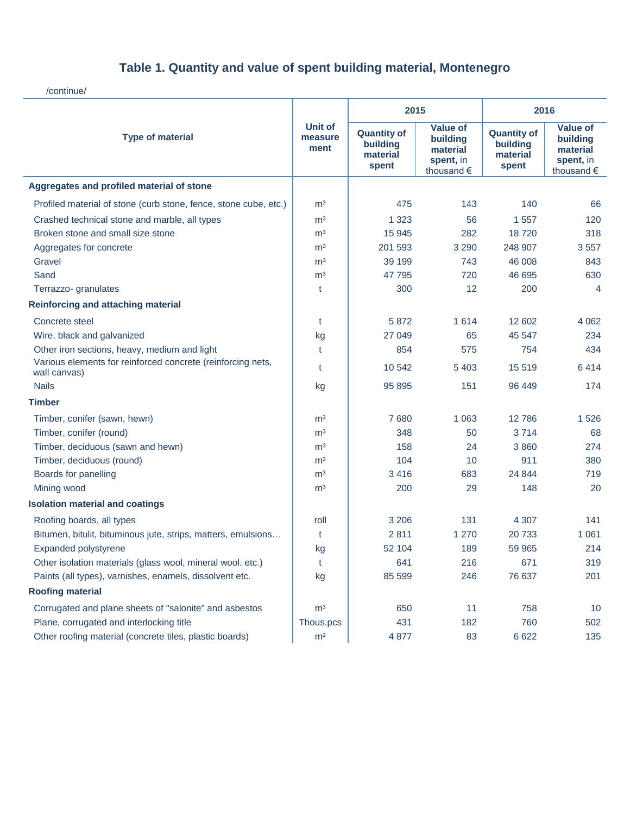/continue/

| <b>Type of material</b>                                                     | <b>Unit of</b><br>measure<br>ment | 2015                                                |                                                                    | 2016                                                |                                                                             |
|-----------------------------------------------------------------------------|-----------------------------------|-----------------------------------------------------|--------------------------------------------------------------------|-----------------------------------------------------|-----------------------------------------------------------------------------|
|                                                                             |                                   | <b>Quantity of</b><br>building<br>material<br>spent | <b>Value of</b><br>building<br>material<br>spent, in<br>thousand € | <b>Quantity of</b><br>building<br>material<br>spent | <b>Value of</b><br>building<br>material<br>spent, in<br>thousand $\epsilon$ |
| Aggregates and profiled material of stone                                   |                                   |                                                     |                                                                    |                                                     |                                                                             |
| Profiled material of stone (curb stone, fence, stone cube, etc.)            | m <sup>3</sup>                    | 475                                                 | 143                                                                | 140                                                 | 66                                                                          |
| Crashed technical stone and marble, all types                               | m <sup>3</sup>                    | 1 3 2 3                                             | 56                                                                 | 1557                                                | 120                                                                         |
| Broken stone and small size stone                                           | m <sup>3</sup>                    | 15 945                                              | 282                                                                | 18720                                               | 318                                                                         |
| Aggregates for concrete                                                     | m <sup>3</sup>                    | 201 593                                             | 3 2 9 0                                                            | 248 907                                             | 3557                                                                        |
| Gravel                                                                      | m <sup>3</sup>                    | 39 199                                              | 743                                                                | 46 008                                              | 843                                                                         |
| Sand                                                                        | m <sup>3</sup>                    | 47 795                                              | 720                                                                | 46 695                                              | 630                                                                         |
| Terrazzo- granulates                                                        | t                                 | 300                                                 | 12                                                                 | 200                                                 | 4                                                                           |
| <b>Reinforcing and attaching material</b>                                   |                                   |                                                     |                                                                    |                                                     |                                                                             |
| Concrete steel                                                              | t                                 | 5 8 7 2                                             | 1 6 1 4                                                            | 12 602                                              | 4 0 6 2                                                                     |
| Wire, black and galvanized                                                  | kg                                | 27 049                                              | 65                                                                 | 45 547                                              | 234                                                                         |
| Other iron sections, heavy, medium and light                                | t                                 | 854                                                 | 575                                                                | 754                                                 | 434                                                                         |
| Various elements for reinforced concrete (reinforcing nets,<br>wall canvas) | t                                 | 10 542                                              | 5 4 0 3                                                            | 15 5 19                                             | 6414                                                                        |
| <b>Nails</b>                                                                | kg                                | 95 895                                              | 151                                                                | 96 449                                              | 174                                                                         |
| <b>Timber</b>                                                               |                                   |                                                     |                                                                    |                                                     |                                                                             |
| Timber, conifer (sawn, hewn)                                                | m <sup>3</sup>                    | 7680                                                | 1 0 6 3                                                            | 12786                                               | 1526                                                                        |
| Timber, conifer (round)                                                     | m <sup>3</sup>                    | 348                                                 | 50                                                                 | 3714                                                | 68                                                                          |
| Timber, deciduous (sawn and hewn)                                           | m <sup>3</sup>                    | 158                                                 | 24                                                                 | 3860                                                | 274                                                                         |
| Timber, deciduous (round)                                                   | m <sup>3</sup>                    | 104                                                 | 10                                                                 | 911                                                 | 380                                                                         |
| Boards for panelling                                                        | m <sup>3</sup>                    | 3416                                                | 683                                                                | 24 844                                              | 719                                                                         |
| Mining wood                                                                 | m <sup>3</sup>                    | 200                                                 | 29                                                                 | 148                                                 | 20                                                                          |
| <b>Isolation material and coatings</b>                                      |                                   |                                                     |                                                                    |                                                     |                                                                             |
| Roofing boards, all types                                                   | roll                              | 3 2 0 6                                             | 131                                                                | 4 3 0 7                                             | 141                                                                         |
| Bitumen, bitulit, bituminous jute, strips, matters, emulsions               | t                                 | 2 8 1 1                                             | 1 2 7 0                                                            | 20 733                                              | 1 0 6 1                                                                     |
| Expanded polystyrene                                                        | kg                                | 52 104                                              | 189                                                                | 59 965                                              | 214                                                                         |
| Other isolation materials (glass wool, mineral wool. etc.)                  | t                                 | 641                                                 | 216                                                                | 671                                                 | 319                                                                         |
| Paints (all types), varnishes, enamels, dissolvent etc.                     | kg                                | 85 599                                              | 246                                                                | 76 637                                              | 201                                                                         |
| <b>Roofing material</b>                                                     |                                   |                                                     |                                                                    |                                                     |                                                                             |
| Corrugated and plane sheets of "salonite" and asbestos                      | m <sup>3</sup>                    | 650                                                 | 11                                                                 | 758                                                 | 10                                                                          |
| Plane, corrugated and interlocking title                                    | Thous.pcs                         | 431                                                 | 182                                                                | 760                                                 | 502                                                                         |
| Other roofing material (concrete tiles, plastic boards)                     | m <sup>2</sup>                    | 4 877                                               | 83                                                                 | 6 6 22                                              | 135                                                                         |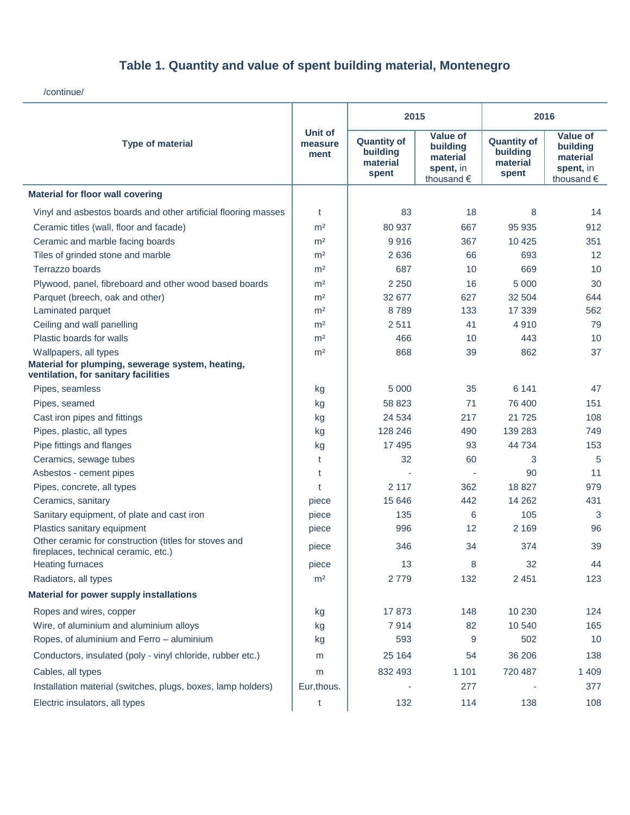/continue/

| <b>Type of material</b>                                                                       | <b>Unit of</b><br>measure<br>ment | 2015                                                |                                                                             | 2016                                                |                                                                             |
|-----------------------------------------------------------------------------------------------|-----------------------------------|-----------------------------------------------------|-----------------------------------------------------------------------------|-----------------------------------------------------|-----------------------------------------------------------------------------|
|                                                                                               |                                   | <b>Quantity of</b><br>building<br>material<br>spent | <b>Value of</b><br>building<br>material<br>spent, in<br>thousand $\epsilon$ | <b>Quantity of</b><br>building<br>material<br>spent | <b>Value of</b><br>building<br>material<br>spent, in<br>thousand $\epsilon$ |
| <b>Material for floor wall covering</b>                                                       |                                   |                                                     |                                                                             |                                                     |                                                                             |
| Vinyl and asbestos boards and other artificial flooring masses                                | t                                 | 83                                                  | 18                                                                          | 8                                                   | 14                                                                          |
| Ceramic titles (wall, floor and facade)                                                       | m <sup>2</sup>                    | 80 937                                              | 667                                                                         | 95 935                                              | 912                                                                         |
| Ceramic and marble facing boards                                                              | m <sup>2</sup>                    | 9916                                                | 367                                                                         | 10 4 25                                             | 351                                                                         |
| Tiles of grinded stone and marble                                                             | m <sup>2</sup>                    | 2 6 3 6                                             | 66                                                                          | 693                                                 | 12                                                                          |
| Terrazzo boards                                                                               | m <sup>2</sup>                    | 687                                                 | 10                                                                          | 669                                                 | 10                                                                          |
| Plywood, panel, fibreboard and other wood based boards                                        | m <sup>2</sup>                    | 2 2 5 0                                             | 16                                                                          | 5 0 0 0                                             | 30                                                                          |
| Parquet (breech, oak and other)                                                               | m <sup>2</sup>                    | 32 677                                              | 627                                                                         | 32 504                                              | 644                                                                         |
| Laminated parquet                                                                             | m <sup>2</sup>                    | 8789                                                | 133                                                                         | 17 339                                              | 562                                                                         |
| Ceiling and wall panelling                                                                    | m <sup>2</sup>                    | 2511                                                | 41                                                                          | 4910                                                | 79                                                                          |
| Plastic boards for walls                                                                      | m <sup>2</sup>                    | 466                                                 | 10                                                                          | 443                                                 | 10                                                                          |
| Wallpapers, all types                                                                         | m <sup>2</sup>                    | 868                                                 | 39                                                                          | 862                                                 | 37                                                                          |
| Material for plumping, sewerage system, heating,<br>ventilation, for sanitary facilities      |                                   |                                                     |                                                                             |                                                     |                                                                             |
| Pipes, seamless                                                                               | kg                                | 5 0 0 0                                             | 35                                                                          | 6 1 4 1                                             | 47                                                                          |
| Pipes, seamed                                                                                 | kg                                | 58 823                                              | 71                                                                          | 76 400                                              | 151                                                                         |
| Cast iron pipes and fittings                                                                  | kg                                | 24 5 34                                             | 217                                                                         | 21 7 25                                             | 108                                                                         |
| Pipes, plastic, all types                                                                     | kg                                | 128 246                                             | 490                                                                         | 139 283                                             | 749                                                                         |
| Pipe fittings and flanges                                                                     | kg                                | 17 495                                              | 93                                                                          | 44 734                                              | 153                                                                         |
| Ceramics, sewage tubes                                                                        | t                                 | 32                                                  | 60                                                                          | 3                                                   | 5                                                                           |
| Asbestos - cement pipes                                                                       | t                                 |                                                     |                                                                             | 90                                                  | 11                                                                          |
| Pipes, concrete, all types                                                                    | t                                 | 2 1 1 7                                             | 362                                                                         | 18 827                                              | 979                                                                         |
| Ceramics, sanitary                                                                            | piece                             | 15 646                                              | 442                                                                         | 14 2 6 2                                            | 431                                                                         |
| Sanitary equipment, of plate and cast iron                                                    | piece                             | 135                                                 | 6                                                                           | 105                                                 | 3                                                                           |
| Plastics sanitary equipment                                                                   | piece                             | 996                                                 | 12                                                                          | 2 1 6 9                                             | 96                                                                          |
| Other ceramic for construction (titles for stoves and<br>fireplaces, technical ceramic, etc.) | piece                             | 346                                                 | 34                                                                          | 374                                                 | 39                                                                          |
| <b>Heating furnaces</b>                                                                       | piece                             | 13                                                  | 8                                                                           | 32                                                  | 44                                                                          |
| Radiators, all types                                                                          | m <sup>2</sup>                    | 2779                                                | 132                                                                         | 2 4 5 1                                             | 123                                                                         |
| <b>Material for power supply installations</b>                                                |                                   |                                                     |                                                                             |                                                     |                                                                             |
| Ropes and wires, copper                                                                       | kg                                | 17873                                               | 148                                                                         | 10 230                                              | 124                                                                         |
| Wire, of aluminium and aluminium alloys                                                       | kg                                | 7914                                                | 82                                                                          | 10 540                                              | 165                                                                         |
| Ropes, of aluminium and Ferro - aluminium                                                     | kg                                | 593                                                 | 9                                                                           | 502                                                 | 10                                                                          |
| Conductors, insulated (poly - vinyl chloride, rubber etc.)                                    | m                                 | 25 164                                              | 54                                                                          | 36 206                                              | 138                                                                         |
| Cables, all types                                                                             | m                                 | 832 493                                             | 1 1 0 1                                                                     | 720 487                                             | 1 4 0 9                                                                     |
| Installation material (switches, plugs, boxes, lamp holders)                                  | Eur, thous.                       |                                                     | 277                                                                         |                                                     | 377                                                                         |
| Electric insulators, all types                                                                | t                                 | 132                                                 | 114                                                                         | 138                                                 | 108                                                                         |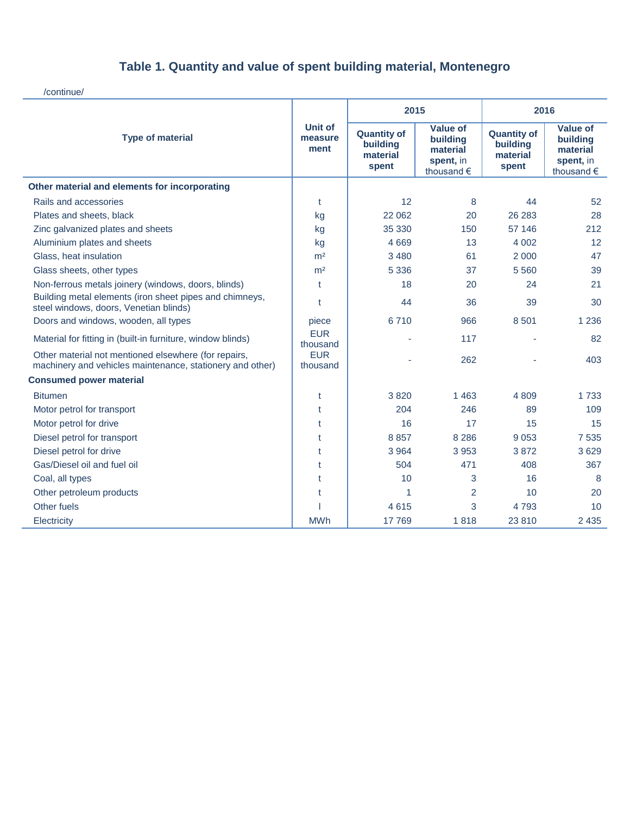/continue/

| <b>Type of material</b>                                                                                           | <b>Unit of</b><br>measure<br>ment | 2015                                                |                                                                             | 2016                                                |                                                                             |
|-------------------------------------------------------------------------------------------------------------------|-----------------------------------|-----------------------------------------------------|-----------------------------------------------------------------------------|-----------------------------------------------------|-----------------------------------------------------------------------------|
|                                                                                                                   |                                   | <b>Quantity of</b><br>building<br>material<br>spent | <b>Value of</b><br>buildina<br>material<br>spent, in<br>thousand $\epsilon$ | <b>Quantity of</b><br>building<br>material<br>spent | <b>Value of</b><br>building<br>material<br>spent, in<br>thousand $\epsilon$ |
| Other material and elements for incorporating                                                                     |                                   |                                                     |                                                                             |                                                     |                                                                             |
| Rails and accessories                                                                                             | t                                 | 12                                                  | 8                                                                           | 44                                                  | 52                                                                          |
| Plates and sheets, black                                                                                          | kg                                | 22 062                                              | 20                                                                          | 26 283                                              | 28                                                                          |
| Zinc galvanized plates and sheets                                                                                 | kg                                | 35 330                                              | 150                                                                         | 57 146                                              | 212                                                                         |
| Aluminium plates and sheets                                                                                       | kg                                | 4 6 6 9                                             | 13                                                                          | 4 0 0 2                                             | 12                                                                          |
| Glass, heat insulation                                                                                            | m <sup>2</sup>                    | 3 4 8 0                                             | 61                                                                          | 2 0 0 0                                             | 47                                                                          |
| Glass sheets, other types                                                                                         | m <sup>2</sup>                    | 5 3 3 6                                             | 37                                                                          | 5 5 6 0                                             | 39                                                                          |
| Non-ferrous metals joinery (windows, doors, blinds)                                                               | t                                 | 18                                                  | 20                                                                          | 24                                                  | 21                                                                          |
| Building metal elements (iron sheet pipes and chimneys,<br>steel windows, doors, Venetian blinds)                 | t                                 | 44                                                  | 36                                                                          | 39                                                  | 30                                                                          |
| Doors and windows, wooden, all types                                                                              | piece                             | 6710                                                | 966                                                                         | 8 5 0 1                                             | 1 2 3 6                                                                     |
| Material for fitting in (built-in furniture, window blinds)                                                       | <b>EUR</b><br>thousand            |                                                     | 117                                                                         |                                                     | 82                                                                          |
| Other material not mentioned elsewhere (for repairs,<br>machinery and vehicles maintenance, stationery and other) | <b>EUR</b><br>thousand            |                                                     | 262                                                                         |                                                     | 403                                                                         |
| <b>Consumed power material</b>                                                                                    |                                   |                                                     |                                                                             |                                                     |                                                                             |
| <b>Bitumen</b>                                                                                                    | t                                 | 3820                                                | 1 4 6 3                                                                     | 4809                                                | 1 7 3 3                                                                     |
| Motor petrol for transport                                                                                        | t                                 | 204                                                 | 246                                                                         | 89                                                  | 109                                                                         |
| Motor petrol for drive                                                                                            | t                                 | 16                                                  | 17                                                                          | 15                                                  | 15                                                                          |
| Diesel petrol for transport                                                                                       | t                                 | 8857                                                | 8 2 8 6                                                                     | 9 0 5 3                                             | 7 5 3 5                                                                     |
| Diesel petrol for drive                                                                                           | t                                 | 3 9 6 4                                             | 3 9 5 3                                                                     | 3872                                                | 3629                                                                        |
| Gas/Diesel oil and fuel oil                                                                                       | t                                 | 504                                                 | 471                                                                         | 408                                                 | 367                                                                         |
| Coal, all types                                                                                                   | t                                 | 10                                                  | 3                                                                           | 16                                                  | 8                                                                           |
| Other petroleum products                                                                                          | t                                 | 1                                                   | $\overline{2}$                                                              | 10                                                  | 20                                                                          |
| Other fuels                                                                                                       |                                   | 4615                                                | 3                                                                           | 4793                                                | 10 <sup>1</sup>                                                             |
| Electricity                                                                                                       | <b>MWh</b>                        | 17 769                                              | 1818                                                                        | 23 8 10                                             | 2 4 3 5                                                                     |